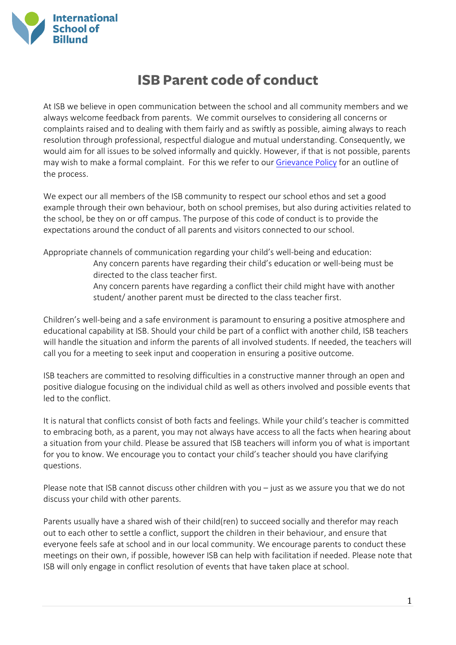

## **ISB Parent code of conduct**

At ISB we believe in open communication between the school and all community members and we always welcome feedback from parents. We commit ourselves to considering all concerns or complaints raised and to dealing with them fairly and as swiftly as possible, aiming always to reach resolution through professional, respectful dialogue and mutual understanding. Consequently, we would aim for all issues to be solved informally and quickly. However, if that is not possible, parents may wish to make a formal complaint. For this we refer to our [Grievance Policy](https://isbillund.com/wp-content/uploads/2019/03/20180814_Grievance-policy.pdf) for an outline of the process.

We expect our all members of the ISB community to respect our school ethos and set a good example through their own behaviour, both on school premises, but also during activities related to the school, be they on or off campus. The purpose of this code of conduct is to provide the expectations around the conduct of all parents and visitors connected to our school.

Appropriate channels of communication regarding your child's well-being and education: Any concern parents have regarding their child's education or well-being must be directed to the class teacher first. Any concern parents have regarding a conflict their child might have with another student/ another parent must be directed to the class teacher first.

Children's well-being and a safe environment is paramount to ensuring a positive atmosphere and educational capability at ISB. Should your child be part of a conflict with another child, ISB teachers will handle the situation and inform the parents of all involved students. If needed, the teachers will call you for a meeting to seek input and cooperation in ensuring a positive outcome.

ISB teachers are committed to resolving difficulties in a constructive manner through an open and positive dialogue focusing on the individual child as well as others involved and possible events that led to the conflict.

It is natural that conflicts consist of both facts and feelings. While your child's teacher is committed to embracing both, as a parent, you may not always have access to all the facts when hearing about a situation from your child. Please be assured that ISB teachers will inform you of what is important for you to know. We encourage you to contact your child's teacher should you have clarifying questions.

Please note that ISB cannot discuss other children with you – just as we assure you that we do not discuss your child with other parents.

Parents usually have a shared wish of their child(ren) to succeed socially and therefor may reach out to each other to settle a conflict, support the children in their behaviour, and ensure that everyone feels safe at school and in our local community. We encourage parents to conduct these meetings on their own, if possible, however ISB can help with facilitation if needed. Please note that ISB will only engage in conflict resolution of events that have taken place at school.